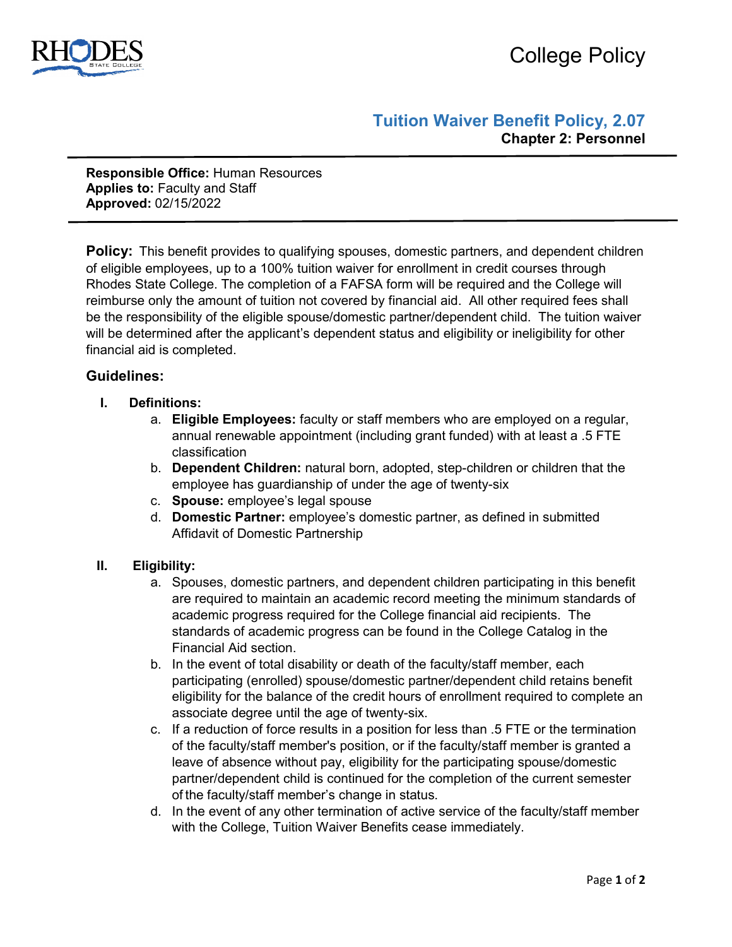# College Policy



**Tuition Waiver Benefit Policy, 2.07 Chapter 2: Personnel**

**Responsible Office:** Human Resources **Applies to:** Faculty and Staff **Approved:** 02/15/2022

**Policy:** This benefit provides to qualifying spouses, domestic partners, and dependent children of eligible employees, up to a 100% tuition waiver for enrollment in credit courses through Rhodes State College. The completion of a FAFSA form will be required and the College will reimburse only the amount of tuition not covered by financial aid. All other required fees shall be the responsibility of the eligible spouse/domestic partner/dependent child. The tuition waiver will be determined after the applicant's dependent status and eligibility or ineligibility for other financial aid is completed.

## **Guidelines:**

- **I. Definitions:** 
	- a. **Eligible Employees:** faculty or staff members who are employed on a regular, annual renewable appointment (including grant funded) with at least a .5 FTE classification
	- b. **Dependent Children:** natural born, adopted, step-children or children that the employee has guardianship of under the age of twenty-six
	- c. **Spouse:** employee's legal spouse
	- d. **Domestic Partner:** employee's domestic partner, as defined in submitted Affidavit of Domestic Partnership

### **II. Eligibility:**

- a. Spouses, domestic partners, and dependent children participating in this benefit are required to maintain an academic record meeting the minimum standards of academic progress required for the College financial aid recipients. The standards of academic progress can be found in the College Catalog in the Financial Aid section.
- b. In the event of total disability or death of the faculty/staff member, each participating (enrolled) spouse/domestic partner/dependent child retains benefit eligibility for the balance of the credit hours of enrollment required to complete an associate degree until the age of twenty-six.
- c. If a reduction of force results in a position for less than .5 FTE or the termination of the faculty/staff member's position, or if the faculty/staff member is granted a leave of absence without pay, eligibility for the participating spouse/domestic partner/dependent child is continued for the completion of the current semester of the faculty/staff member's change in status.
- d. In the event of any other termination of active service of the faculty/staff member with the College, Tuition Waiver Benefits cease immediately.